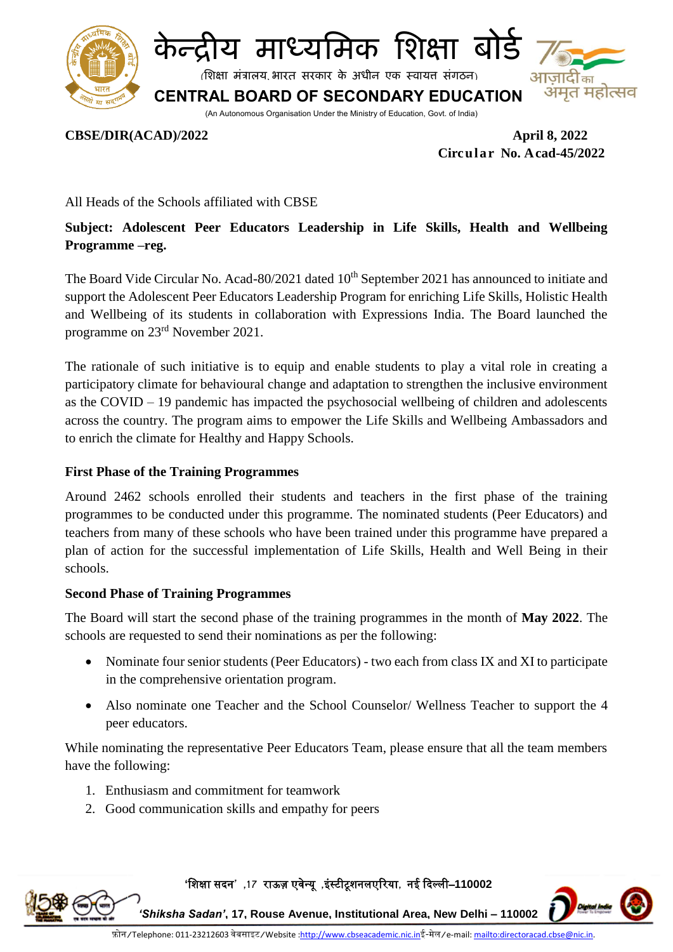



(शिक्षा मंत्रालय भारत सरकार के अधीन एक स्वायत्त संगठन)

अमृत महोत्सव **CENTRAL BOARD OF SECONDARY EDUCATION**

(An Autonomous Organisation Under the Ministry of Education, Govt. of India)

### **CBSE/DIR(ACAD)/2022 April 8, 2022**

 **Circular No. Acad-45/2022**

All Heads of the Schools affiliated with CBSE

## **Subject: Adolescent Peer Educators Leadership in Life Skills, Health and Wellbeing Programme –reg.**

The Board Vide Circular No. Acad-80/2021 dated 10<sup>th</sup> September 2021 has announced to initiate and support the Adolescent Peer Educators Leadership Program for enriching Life Skills, Holistic Health and Wellbeing of its students in collaboration with Expressions India. The Board launched the programme on 23rd November 2021.

The rationale of such initiative is to equip and enable students to play a vital role in creating a participatory climate for behavioural change and adaptation to strengthen the inclusive environment as the COVID – 19 pandemic has impacted the psychosocial wellbeing of children and adolescents across the country. The program aims to empower the Life Skills and Wellbeing Ambassadors and to enrich the climate for Healthy and Happy Schools.

### **First Phase of the Training Programmes**

Around 2462 schools enrolled their students and teachers in the first phase of the training programmes to be conducted under this programme. The nominated students (Peer Educators) and teachers from many of these schools who have been trained under this programme have prepared a plan of action for the successful implementation of Life Skills, Health and Well Being in their schools.

#### **Second Phase of Training Programmes**

The Board will start the second phase of the training programmes in the month of **May 2022**. The schools are requested to send their nominations as per the following:

- Nominate four senior students (Peer Educators) two each from class IX and XI to participate in the comprehensive orientation program.
- Also nominate one Teacher and the School Counselor/ Wellness Teacher to support the 4 peer educators.

While nominating the representative Peer Educators Team, please ensure that all the team members have the following:

- 1. Enthusiasm and commitment for teamwork
- 2. Good communication skills and empathy for peers

**'**शिक्षा सदन**' ,17** राऊज़ एवेन्यू **,**इंस्टीटूिनलएररया**,** नई ददल्ली–**110002** 



*'Shiksha Sadan'***, 17, Rouse Avenue, Institutional Area, New Delhi – 110002**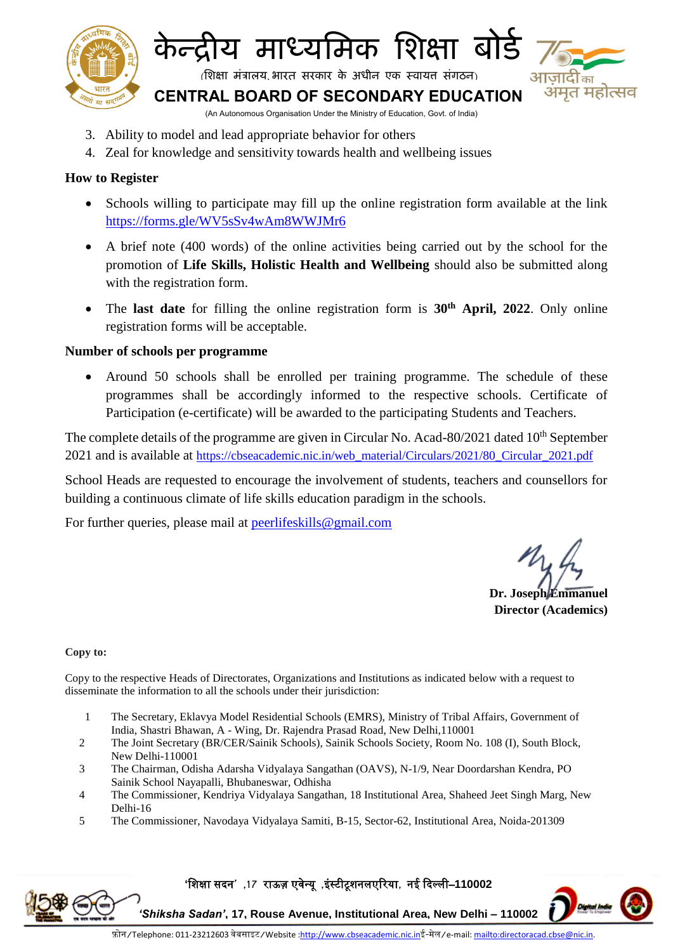

## **के न्द्रीय माध्यममक मिक्षा बोर्ड**

(शिक्षा मंत्रालय भारत सरकार के अधीन एक स्वायत्त संगठन)

मत महोत्सव

**CENTRAL BOARD OF SECONDARY EDUCATION**

- (An Autonomous Organisation Under the Ministry of Education, Govt. of India)
- 3. Ability to model and lead appropriate behavior for others
- 4. Zeal for knowledge and sensitivity towards health and wellbeing issues

## **How to Register**

- Schools willing to participate may fill up the online registration form available at the link <https://forms.gle/WV5sSv4wAm8WWJMr6>
- A brief note (400 words) of the online activities being carried out by the school for the promotion of **Life Skills, Holistic Health and Wellbeing** should also be submitted along with the registration form.
- The **last date** for filling the online registration form is **30th April, 2022**. Only online registration forms will be acceptable.

## **Number of schools per programme**

 Around 50 schools shall be enrolled per training programme. The schedule of these programmes shall be accordingly informed to the respective schools. Certificate of Participation (e-certificate) will be awarded to the participating Students and Teachers.

The complete details of the programme are given in Circular No. Acad-80/2021 dated 10<sup>th</sup> September 2021 and is available at [https://cbseacademic.nic.in/web\\_material/Circulars/2021/80\\_Circular\\_2021.pdf](https://cbseacademic.nic.in/web_material/Circulars/2021/80_Circular_2021.pdf)

School Heads are requested to encourage the involvement of students, teachers and counsellors for building a continuous climate of life skills education paradigm in the schools.

For further queries, please mail at [peerlifeskills@gmail.com](mailto:peerlifeskills@gmail.com)

**Dr. Joseph Emmanuel Director (Academics)**

#### **Copy to:**

Copy to the respective Heads of Directorates, Organizations and Institutions as indicated below with a request to disseminate the information to all the schools under their jurisdiction:

- 1 The Secretary, Eklavya Model Residential Schools (EMRS), Ministry of Tribal Affairs, Government of India, Shastri Bhawan, A - Wing, Dr. Rajendra Prasad Road, New [Delhi,110001](http://tribal.gov.in/)
- 2 The Joint Secretary (BR/CER/Sainik Schools), Sainik Schools Society, Room No. 108 (I), South Block, New Delhi-110001
- 3 The Chairman, Odisha Adarsha Vidyalaya Sangathan (OAVS), N-1/9, Near Doordarshan Kendra, PO Sainik School Nayapalli, Bhubaneswar, Odhisha
- 4 The Commissioner, Kendriya Vidyalaya Sangathan, 18 Institutional Area, Shaheed Jeet Singh Marg, New Delhi-16
- 5 The Commissioner, Navodaya Vidyalaya Samiti, B-15, Sector-62, Institutional Area, Noida-201309

**'**शिक्षा सदन**' ,17** राऊज़ एवेन्यू **,**इंस्टीटूिनलएररया**,** नई ददल्ली–**110002** 



*'Shiksha Sadan'***, 17, Rouse Avenue, Institutional Area, New Delhi – 110002**